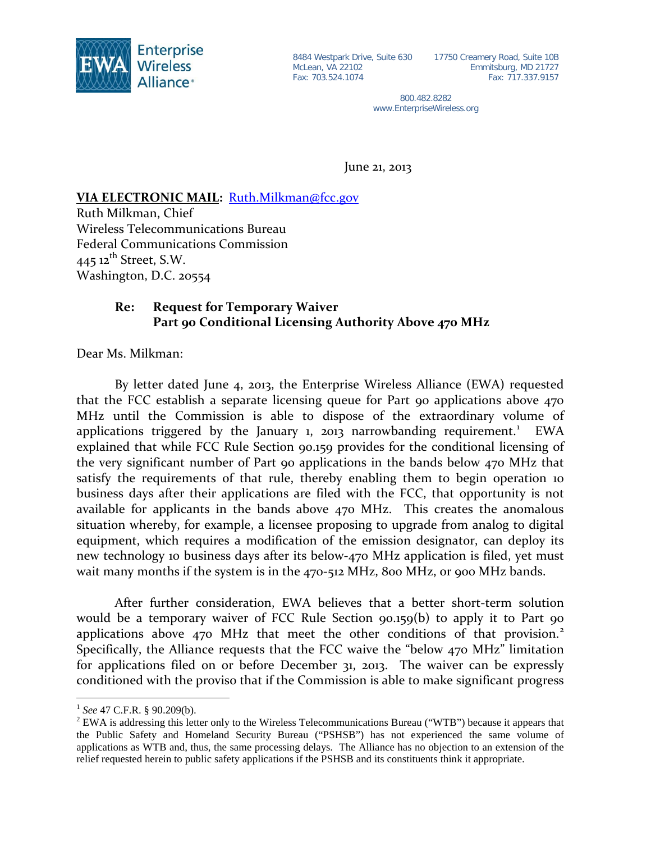

McLean, VA 22102 Fax: 703.524.1074

8484 Westpark Drive, Suite 630 17750 Creamery Road, Suite 10B Emmitsburg, MD 21727 Fax: 717.337.9157

> 800.482.8282 www.EnterpriseWireless.org

June 21, 2013

## **VIA ELECTRONIC MAIL:**  [Ruth.Milkman@fcc.gov](mailto:Ruth.Milkman@fcc.gov)

Ruth Milkman, Chief Wireless Telecommunications Bureau Federal Communications Commission  $445$  12<sup>th</sup> Street, S.W. Washington, D.C. 20554

## **Re: Request for Temporary Waiver Part 90 Conditional Licensing Authority Above 470 MHz**

Dear Ms. Milkman:

By letter dated June 4, 2013, the Enterprise Wireless Alliance (EWA) requested that the FCC establish a separate licensing queue for Part 90 applications above 470 MHz until the Commission is able to dispose of the extraordinary volume of applications triggered by the January [1](#page-0-0), 2013 narrowbanding requirement.<sup>1</sup> EWA explained that while FCC Rule Section 90.159 provides for the conditional licensing of the very significant number of Part 90 applications in the bands below 470 MHz that satisfy the requirements of that rule, thereby enabling them to begin operation 10 business days after their applications are filed with the FCC, that opportunity is not available for applicants in the bands above 470 MHz. This creates the anomalous situation whereby, for example, a licensee proposing to upgrade from analog to digital equipment, which requires a modification of the emission designator, can deploy its new technology 10 business days after its below-470 MHz application is filed, yet must wait many months if the system is in the 470-512 MHz, 800 MHz, or 900 MHz bands.

After further consideration, EWA believes that a better short-term solution would be a temporary waiver of FCC Rule Section 90.159(b) to apply it to Part 90 applications above 470 MHz that meet the other conditions of that provision.<sup>[2](#page-0-1)</sup> Specifically, the Alliance requests that the FCC waive the "below 470 MHz" limitation for applications filed on or before December 31, 2013. The waiver can be expressly conditioned with the proviso that if the Commission is able to make significant progress

<span id="page-0-0"></span> <sup>1</sup> *See* 47 C.F.R. § 90.209(b).

<span id="page-0-1"></span><sup>&</sup>lt;sup>2</sup> EWA is addressing this letter only to the Wireless Telecommunications Bureau ("WTB") because it appears that the Public Safety and Homeland Security Bureau ("PSHSB") has not experienced the same volume of applications as WTB and, thus, the same processing delays. The Alliance has no objection to an extension of the relief requested herein to public safety applications if the PSHSB and its constituents think it appropriate.